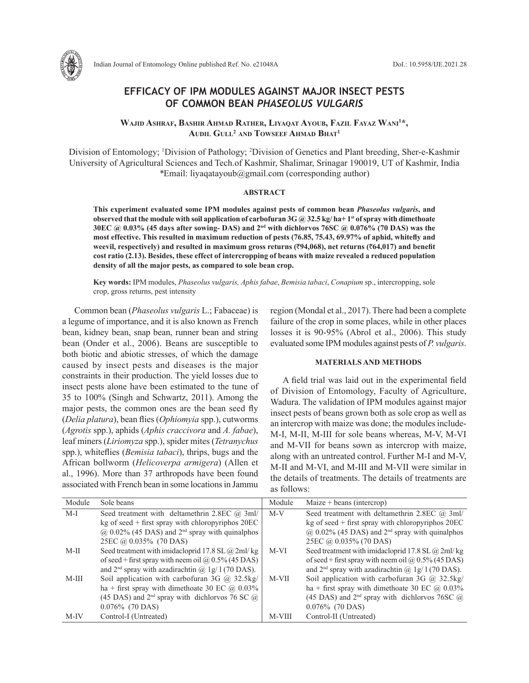

## **EFFICACY OF IPM MODULES AGAINST MAJOR INSECT PESTS OF COMMON BEAN** *PHASEOLUS VULGARIS*

**Wajid Ashraf, Bashir Ahmad Rather, Liyaqat Ayoub, Fazil Fayaz Wani1 \*, Audil Gull<sup>2</sup> and Towseef Ahmad Bhat1**

Division of Entomology; <sup>1</sup>Division of Pathology; <sup>2</sup>Division of Genetics and Plant breeding, Sher-e-Kashmir University of Agricultural Sciences and Tech.of Kashmir, Shalimar, Srinagar 190019, UT of Kashmir, India *\**Email: liyaqatayoub@gmail.com (corresponding author)

### **ABSTRACT**

**This experiment evaluated some IPM modules against pests of common bean** *Phaseolus vulgaris***, and observed that the module with soil application of carbofuran 3G @ 32.5 kg/ ha+ 1st of spray with dimethoate 30EC @ 0.03% (45 days after sowing- DAS) and 2nd with dichlorvos 76SC @ 0.076% (70 DAS) was the most effective. This resulted in maximum reduction of pests (76.85, 75.43, 69.97% of aphid, whitefly and weevil, respectively) and resulted in maximum gross returns (**`**94,068), net returns (**`**64,017) and benefit cost ratio (2.13). Besides, these effect of intercropping of beans with maize revealed a reduced population density of all the major pests, as compared to sole bean crop.**

**Key words:** IPM modules, *Phaseolus vulgaris, Aphis fabae*, *Bemisia tabaci*, *Conapium* sp., intercropping, sole crop, gross returns, pest intensity

Common bean (*Phaseolus vulgaris* L.; Fabaceae) is a legume of importance, and it is also known as French bean, kidney bean, snap bean, runner bean and string bean (Onder et al., 2006). Beans are susceptible to both biotic and abiotic stresses, of which the damage caused by insect pests and diseases is the major constraints in their production. The yield losses due to insect pests alone have been estimated to the tune of 35 to 100% (Singh and Schwartz, 2011). Among the major pests, the common ones are the bean seed fly (*Delia platura*), bean flies (*Ophiomyia* spp.), cutworms (*Agrotis* spp.), aphids (*Aphis craccivora* and *A. fabae*), leaf miners (*Liriomyza* spp.), spider mites (*Tetranychus*  spp.), whiteflies (*Bemisia tabaci*), thrips, bugs and the African bollworm (*Helicoverpa armigera*) (Allen et al., 1996). More than 37 arthropods have been found associated with French bean in some locations in Jammu region (Mondal et al., 2017). There had been a complete failure of the crop in some places, while in other places losses it is 90-95% (Abrol et al., 2006). This study evaluated some IPM modules against pests of *P. vulgaris*.

## **MATERIALS AND METHODS**

A field trial was laid out in the experimental field of Division of Entomology, Faculty of Agriculture, Wadura. The validation of IPM modules against major insect pests of beans grown both as sole crop as well as an intercrop with maize was done; the modules include-M-I, M-II, M-III for sole beans whereas, M-V, M-VI and M-VII for beans sown as intercrop with maize, along with an untreated control. Further M-I and M-V, M-II and M-VI, and M-III and M-VII were similar in the details of treatments. The details of treatments are as follows:

| Module  | Sole beans                                                           | Module | Maize + beans (intercrop)                                         |
|---------|----------------------------------------------------------------------|--------|-------------------------------------------------------------------|
| M-I     | Seed treatment with deltamethrin 2.8EC $(a)$ 3ml/                    | $M-V$  | Seed treatment with deltamethrin 2.8EC $(\hat{a})$ 3ml/           |
|         | $kg$ of seed + first spray with chloropyriphos 20EC                  |        | kg of seed $+$ first spray with chloropyriphos $20EC$             |
|         | $\omega$ 0.02% (45 DAS) and 2 <sup>nd</sup> spray with quinalphos    |        | $\omega$ 0.02% (45 DAS) and 2 <sup>nd</sup> spray with quinalphos |
|         | 25EC @ 0.035% (70 DAS)                                               |        | 25EC @ 0.035% (70 DAS)                                            |
| $M-II$  | Seed treatment with imidacloprid 17.8 SL $\omega$ 2ml/kg             | M-VI   | Seed treatment with imidacloprid 17.8 SL @ 2ml/kg                 |
|         | of seed + first spray with neem oil ( $\hat{\omega}$ ) 0.5% (45 DAS) |        | of seed + first spray with neem oil $\omega$ 0.5% (45 DAS)        |
|         | and $2nd$ spray with azadirachtin @ 1g/1(70 DAS).                    |        | and $2nd$ spray with azadirachtin $\omega$ 1g/1(70 DAS).          |
| $M-III$ | Soil application with carbofuran 3G $\omega$ 32.5kg/                 | M-VII  | Soil application with carbofuran 3G $\omega$ 32.5kg/              |
|         | ha + first spray with dimethoate 30 EC $\omega$ 0.03%                |        | ha + first spray with dimethoate 30 EC $\omega$ 0.03%             |
|         | (45 DAS) and $2nd$ spray with dichlorvos 76 SC $\omega$              |        | (45 DAS) and $2nd$ spray with dichlorvos 76SC $\omega$            |
|         | $0.076\%$ (70 DAS)                                                   |        | $0.076\%$ (70 DAS)                                                |
| M-IV    | Control-I (Untreated)                                                | M-VIII | Control-II (Untreated)                                            |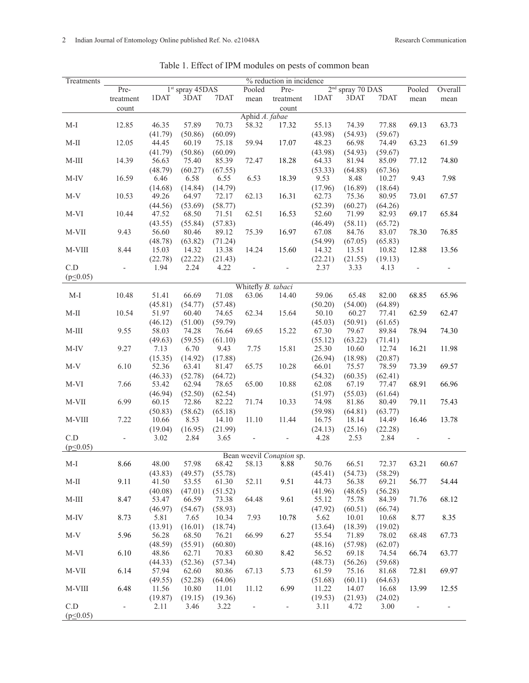| Treatments                     | % reduction in incidence  |         |         |                                                |                          |                          |         |         |         |       |       |
|--------------------------------|---------------------------|---------|---------|------------------------------------------------|--------------------------|--------------------------|---------|---------|---------|-------|-------|
|                                | Pre-<br>$1st$ spray 45DAS |         |         | 2 <sup>nd</sup> spray 70 DAS<br>Pooled<br>Pre- |                          |                          |         | Pooled  | Overall |       |       |
|                                | treatment                 | 1DAT    | 3DAT    | 7DAT                                           | mean                     | treatment                | 1DAT    | 3DAT    | 7DAT    | mean  | mean  |
|                                | count                     |         |         |                                                |                          | count                    |         |         |         |       |       |
|                                |                           |         |         |                                                | Aphid A. fabae           |                          |         |         |         |       |       |
| $M-I$                          | 12.85                     | 46.35   | 57.89   | 70.73                                          | 58.32                    | 17.32                    | 55.13   | 74.39   | 77.88   | 69.13 | 63.73 |
|                                |                           | (41.79) | (50.86) | (60.09)                                        |                          |                          | (43.98) | (54.93) | (59.67) |       |       |
| $M-II$                         | 12.05                     | 44.45   | 60.19   | 75.18                                          | 59.94                    | 17.07                    | 48.23   | 66.98   | 74.49   | 63.23 | 61.59 |
|                                |                           | (41.79) | (50.86) | (60.09)                                        |                          |                          | (43.98) | (54.93) | (59.67) |       |       |
| $M-III$                        | 14.39                     | 56.63   | 75.40   | 85.39                                          | 72.47                    | 18.28                    | 64.33   | 81.94   | 85.09   | 77.12 | 74.80 |
|                                |                           | (48.79) | (60.27) | (67.55)                                        |                          |                          | (53.33) | (64.88) | (67.36) |       |       |
| $M-IV$                         | 16.59                     | 6.46    | 6.58    | 6.55                                           | 6.53                     | 18.39                    | 9.53    | 8.48    | 10.27   | 9.43  | 7.98  |
|                                |                           | (14.68) | (14.84) | (14.79)                                        |                          |                          | (17.96) | (16.89) | (18.64) |       |       |
| $M-V$                          | 10.53                     | 49.26   | 64.97   | 72.17                                          | 62.13                    | 16.31                    | 62.73   | 75.36   | 80.95   | 73.01 | 67.57 |
|                                |                           | (44.56) | (53.69) | (58.77)                                        |                          |                          | (52.39) | (60.27) | (64.26) |       |       |
| M-VI                           | 10.44                     | 47.52   | 68.50   | 71.51                                          | 62.51                    | 16.53                    | 52.60   | 71.99   | 82.93   | 69.17 | 65.84 |
|                                |                           | (43.55) | (55.84) | (57.83)                                        |                          |                          | (46.49) | (58.11) | (65.72) |       |       |
| $M-VII$                        | 9.43                      | 56.60   | 80.46   | 89.12                                          | 75.39                    | 16.97                    | 67.08   | 84.76   | 83.07   | 78.30 | 76.85 |
|                                |                           | (48.78) | (63.82) | (71.24)                                        |                          |                          | (54.99) | (67.05) | (65.83) |       |       |
| M-VIII                         | 8.44                      | 15.03   | 14.32   | 13.38                                          | 14.24                    | 15.60                    | 14.32   | 13.51   | 10.82   | 12.88 | 13.56 |
|                                |                           | (22.78) | (22.22) | (21.43)                                        |                          |                          | (22.21) | (21.55) | (19.13) |       |       |
| C.D                            | $\overline{\phantom{0}}$  | 1.94    | 2.24    | 4.22                                           | $\overline{\phantom{0}}$ |                          | 2.37    | 3.33    | 4.13    |       |       |
| $(p \le 0.05)$                 |                           |         |         |                                                |                          |                          |         |         |         |       |       |
| Whitefly B. tabaci             |                           |         |         |                                                |                          |                          |         |         |         |       |       |
| $M-I$                          | 10.48                     | 51.41   | 66.69   | 71.08                                          | 63.06                    | 14.40                    | 59.06   | 65.48   | 82.00   | 68.85 | 65.96 |
|                                |                           | (45.81) | (54.77) | (57.48)                                        |                          |                          | (50.20) | (54.00) | (64.89) |       |       |
| $\mathbf{M}\text{-}\mathbf{H}$ |                           |         |         |                                                |                          | 15.64                    |         |         |         |       |       |
|                                | 10.54                     | 51.97   | 60.40   | 74.65                                          | 62.34                    |                          | 50.10   | 60.27   | 77.41   | 62.59 | 62.47 |
|                                |                           | (46.12) | (51.00) | (59.79)                                        |                          |                          | (45.03) | (50.91) | (61.65) |       |       |
| $M-III$                        | 9.55                      | 58.03   | 74.28   | 76.64                                          | 69.65                    | 15.22                    | 67.30   | 79.67   | 89.84   | 78.94 | 74.30 |
|                                |                           | (49.63) | (59.55) | (61.10)                                        |                          |                          | (55.12) | (63.22) | (71.41) |       |       |
| M-IV                           | 9.27                      | 7.13    | 6.70    | 9.43                                           | 7.75                     | 15.81                    | 25.30   | 10.60   | 12.74   | 16.21 | 11.98 |
|                                |                           | (15.35) | (14.92) | (17.88)                                        |                          |                          | (26.94) | (18.98) | (20.87) |       |       |
| $M-V$                          | 6.10                      | 52.36   | 63.41   | 81.47                                          | 65.75                    | 10.28                    | 66.01   | 75.57   | 78.59   | 73.39 | 69.57 |
|                                |                           | (46.33) | (52.78) | (64.72)                                        |                          |                          | (54.32) | (60.35) | (62.41) |       |       |
| M-VI                           | 7.66                      | 53.42   | 62.94   | 78.65                                          | 65.00                    | 10.88                    | 62.08   | 67.19   | 77.47   | 68.91 | 66.96 |
|                                |                           | (46.94) | (52.50) | (62.54)                                        |                          |                          | (51.97) | (55.03) | (61.64) |       |       |
| M-VII                          | 6.99                      | 60.15   | 72.86   | 82.22                                          | 71.74                    | 10.33                    | 74.98   | 81.86   | 80.49   | 79.11 | 75.43 |
|                                |                           | (50.83) | (58.62) | (65.18)                                        |                          |                          | (59.98) | (64.81) | (63.77) |       |       |
| M-VIII                         | 7.22                      | 10.66   | 8.53    | 14.10                                          | 11.10                    | 11.44                    | 16.75   | 18.14   | 14.49   | 16.46 | 13.78 |
|                                |                           | (19.04) | (16.95) | (21.99)                                        |                          |                          | (24.13) | (25.16) | (22.28) |       |       |
| C.D                            | $\overline{a}$            | 3.02    | 2.84    | 3.65                                           |                          |                          | 4.28    | 2.53    | 2.84    |       |       |
| (p<0.05)                       |                           |         |         |                                                |                          |                          |         |         |         |       |       |
|                                |                           |         |         |                                                |                          | Bean weevil Conapion sp. |         |         |         |       |       |
| M-I                            | 8.66                      | 48.00   | 57.98   | 68.42                                          | 58.13                    | 8.88                     | 50.76   | 66.51   | 72.37   | 63.21 | 60.67 |
|                                |                           | (43.83) | (49.57) | (55.78)                                        |                          |                          | (45.41) | (54.73) | (58.29) |       |       |
| $\rm M\text{-}II$              | 9.11                      | 41.50   | 53.55   | 61.30                                          | 52.11                    | 9.51                     | 44.73   | 56.38   | 69.21   | 56.77 | 54.44 |
|                                |                           | (40.08) | (47.01) | (51.52)                                        |                          |                          | (41.96) | (48.65) | (56.28) |       |       |
| $M-III$                        | 8.47                      | 53.47   | 66.59   | 73.38                                          | 64.48                    | 9.61                     | 55.12   | 75.78   | 84.39   | 71.76 | 68.12 |
|                                |                           | (46.97) | (54.67) | (58.93)                                        |                          |                          | (47.92) | (60.51) | (66.74) |       |       |
| M-IV                           | 8.73                      | 5.81    | 7.65    | 10.34                                          | 7.93                     | 10.78                    | 5.62    | 10.01   | 10.68   | 8.77  | 8.35  |
|                                |                           | (13.91) | (16.01) | (18.74)                                        |                          |                          | (13.64) | (18.39) | (19.02) |       |       |
| $M-V$                          | 5.96                      | 56.28   | 68.50   | 76.21                                          | 66.99                    | 6.27                     | 55.54   | 71.89   | 78.02   | 68.48 | 67.73 |
|                                |                           | (48.59) | (55.91) | (60.80)                                        |                          |                          | (48.16) | (57.98) | (62.07) |       |       |
| M-VI                           | 6.10                      | 48.86   | 62.71   | 70.83                                          | 60.80                    | 8.42                     | 56.52   | 69.18   | 74.54   | 66.74 | 63.77 |
|                                |                           | (44.33) | (52.36) | (57.34)                                        |                          |                          | (48.73) | (56.26) | (59.68) |       |       |
| M-VII                          | 6.14                      | 57.94   | 62.60   | 80.86                                          | 67.13                    | 5.73                     | 61.59   | 75.16   | 81.68   | 72.81 | 69.97 |
|                                |                           | (49.55) | (52.28) | (64.06)                                        |                          |                          | (51.68) | (60.11) | (64.63) |       |       |
| M-VIII                         | 6.48                      | 11.56   | 10.80   | 11.01                                          | 11.12                    | 6.99                     | 11.22   | 14.07   | 16.68   | 13.99 | 12.55 |
|                                |                           | (19.87) | (19.15) | (19.36)                                        |                          |                          | (19.53) | (21.93) | (24.02) |       |       |
| C.D                            | $\overline{\phantom{0}}$  | 2.11    | 3.46    | 3.22                                           |                          | $\overline{\phantom{a}}$ | 3.11    | 4.72    | 3.00    |       |       |
| $(p \le 0.05)$                 |                           |         |         |                                                |                          |                          |         |         |         |       |       |

# Table 1. Effect of IPM modules on pests of common bean